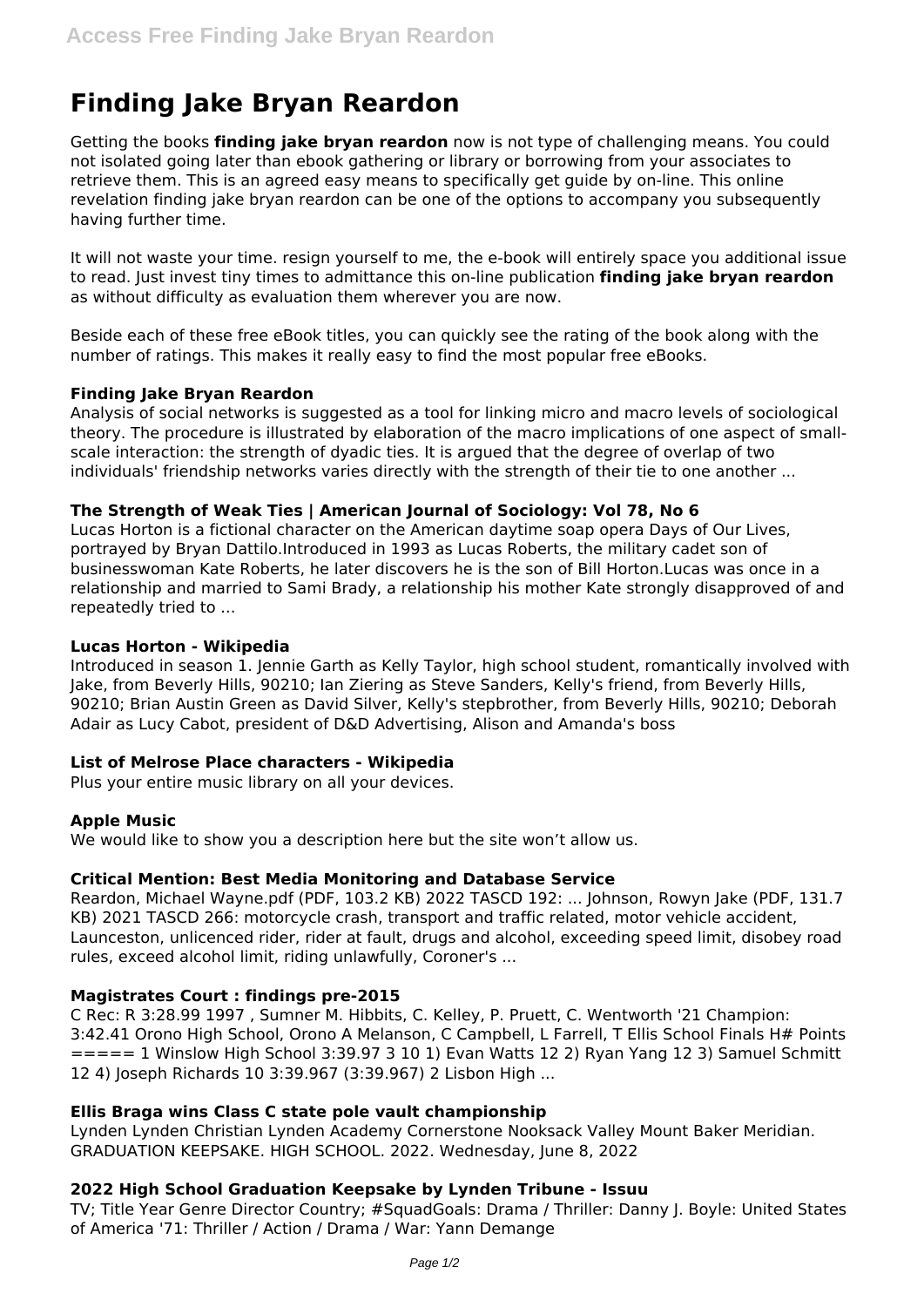# **Finding Jake Bryan Reardon**

Getting the books **finding jake bryan reardon** now is not type of challenging means. You could not isolated going later than ebook gathering or library or borrowing from your associates to retrieve them. This is an agreed easy means to specifically get guide by on-line. This online revelation finding jake bryan reardon can be one of the options to accompany you subsequently having further time.

It will not waste your time. resign yourself to me, the e-book will entirely space you additional issue to read. Just invest tiny times to admittance this on-line publication **finding jake bryan reardon** as without difficulty as evaluation them wherever you are now.

Beside each of these free eBook titles, you can quickly see the rating of the book along with the number of ratings. This makes it really easy to find the most popular free eBooks.

## **Finding Jake Bryan Reardon**

Analysis of social networks is suggested as a tool for linking micro and macro levels of sociological theory. The procedure is illustrated by elaboration of the macro implications of one aspect of smallscale interaction: the strength of dyadic ties. It is argued that the degree of overlap of two individuals' friendship networks varies directly with the strength of their tie to one another ...

# **The Strength of Weak Ties | American Journal of Sociology: Vol 78, No 6**

Lucas Horton is a fictional character on the American daytime soap opera Days of Our Lives, portrayed by Bryan Dattilo.Introduced in 1993 as Lucas Roberts, the military cadet son of businesswoman Kate Roberts, he later discovers he is the son of Bill Horton.Lucas was once in a relationship and married to Sami Brady, a relationship his mother Kate strongly disapproved of and repeatedly tried to ...

## **Lucas Horton - Wikipedia**

Introduced in season 1. Jennie Garth as Kelly Taylor, high school student, romantically involved with Jake, from Beverly Hills, 90210; Ian Ziering as Steve Sanders, Kelly's friend, from Beverly Hills, 90210; Brian Austin Green as David Silver, Kelly's stepbrother, from Beverly Hills, 90210; Deborah Adair as Lucy Cabot, president of D&D Advertising, Alison and Amanda's boss

#### **List of Melrose Place characters - Wikipedia**

Plus your entire music library on all your devices.

#### **Apple Music**

We would like to show you a description here but the site won't allow us.

# **Critical Mention: Best Media Monitoring and Database Service**

Reardon, Michael Wayne.pdf (PDF, 103.2 KB) 2022 TASCD 192: ... Johnson, Rowyn Jake (PDF, 131.7 KB) 2021 TASCD 266: motorcycle crash, transport and traffic related, motor vehicle accident, Launceston, unlicenced rider, rider at fault, drugs and alcohol, exceeding speed limit, disobey road rules, exceed alcohol limit, riding unlawfully, Coroner's ...

# **Magistrates Court : findings pre-2015**

C Rec: R 3:28.99 1997 , Sumner M. Hibbits, C. Kelley, P. Pruett, C. Wentworth '21 Champion: 3:42.41 Orono High School, Orono A Melanson, C Campbell, L Farrell, T Ellis School Finals H# Points  $==== 1$  Winslow High School 3:39.97 3 10 1) Evan Watts 12 2) Ryan Yang 12 3) Samuel Schmitt 12 4) Joseph Richards 10 3:39.967 (3:39.967) 2 Lisbon High ...

# **Ellis Braga wins Class C state pole vault championship**

Lynden Lynden Christian Lynden Academy Cornerstone Nooksack Valley Mount Baker Meridian. GRADUATION KEEPSAKE. HIGH SCHOOL. 2022. Wednesday, June 8, 2022

# **2022 High School Graduation Keepsake by Lynden Tribune - Issuu**

TV; Title Year Genre Director Country; #SquadGoals: Drama / Thriller: Danny J. Boyle: United States of America '71: Thriller / Action / Drama / War: Yann Demange